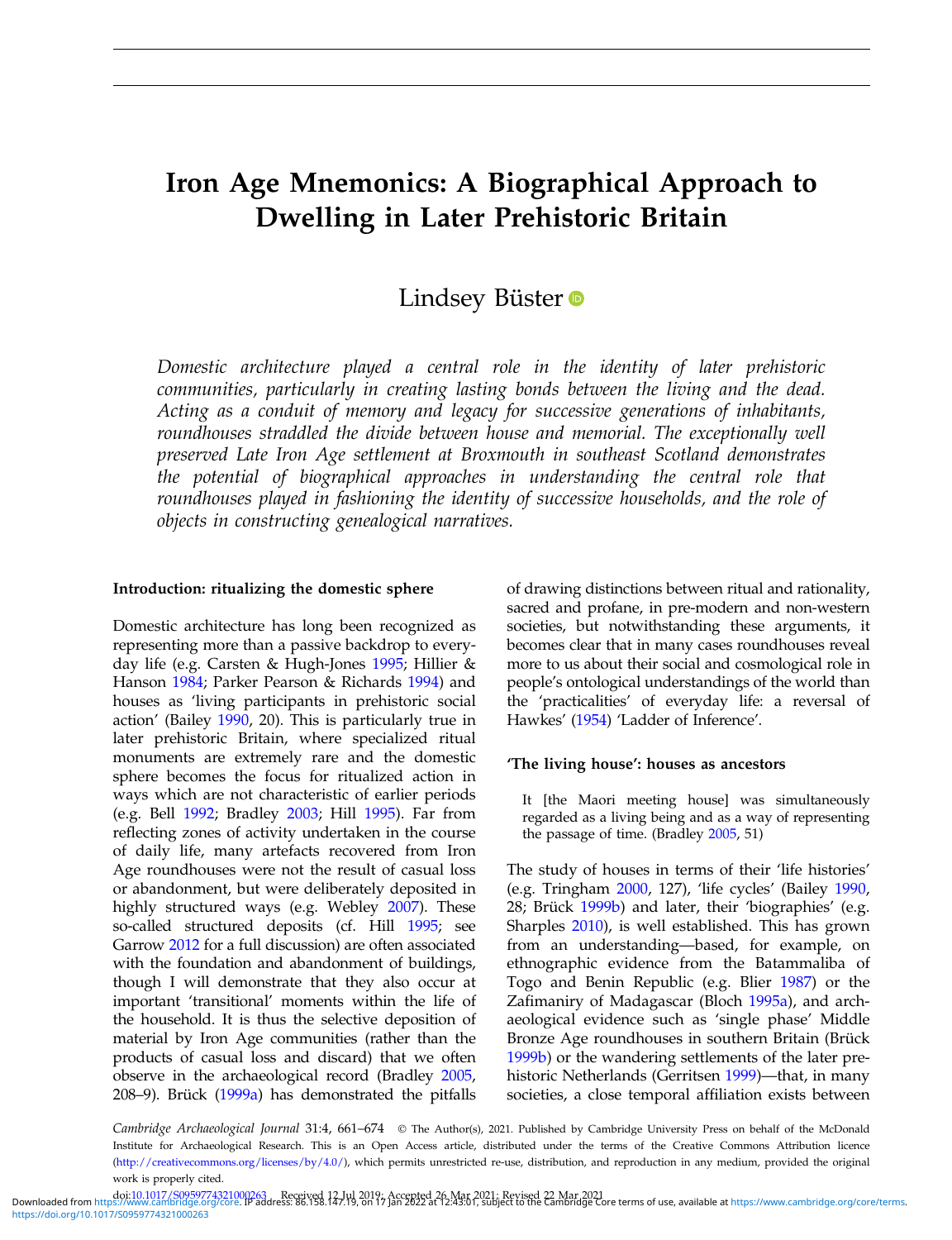# Iron Age Mnemonics: A Biographical Approach to Dwelling in Later Prehistoric Britain

# Lindsey Büster

Domestic architecture played a central role in the identity of later prehistoric communities, particularly in creating lasting bonds between the living and the dead. Acting as a conduit of memory and legacy for successive generations of inhabitants, roundhouses straddled the divide between house and memorial. The exceptionally well preserved Late Iron Age settlement at Broxmouth in southeast Scotland demonstrates the potential of biographical approaches in understanding the central role that roundhouses played in fashioning the identity of successive households, and the role of objects in constructing genealogical narratives.

# Introduction: ritualizing the domestic sphere

Domestic architecture has long been recognized as representing more than a passive backdrop to everyday life (e.g. Carsten & Hugh-Jones [1995](#page-12-0); Hillier & Hanson [1984](#page-12-0); Parker Pearson & Richards [1994](#page-13-0)) and houses as 'living participants in prehistoric social action' (Bailey [1990](#page-11-0), 20). This is particularly true in later prehistoric Britain, where specialized ritual monuments are extremely rare and the domestic sphere becomes the focus for ritualized action in ways which are not characteristic of earlier periods (e.g. Bell [1992](#page-11-0); Bradley [2003;](#page-11-0) Hill [1995](#page-12-0)). Far from reflecting zones of activity undertaken in the course of daily life, many artefacts recovered from Iron Age roundhouses were not the result of casual loss or abandonment, but were deliberately deposited in highly structured ways (e.g. Webley [2007](#page-13-0)). These so-called structured deposits (cf. Hill [1995;](#page-12-0) see Garrow [2012](#page-12-0) for a full discussion) are often associated with the foundation and abandonment of buildings, though I will demonstrate that they also occur at important 'transitional' moments within the life of the household. It is thus the selective deposition of material by Iron Age communities (rather than the products of casual loss and discard) that we often observe in the archaeological record (Bradley [2005](#page-11-0), 208–9). Brück ([1999a](#page-12-0)) has demonstrated the pitfalls

of drawing distinctions between ritual and rationality, sacred and profane, in pre-modern and non-western societies, but notwithstanding these arguments, it becomes clear that in many cases roundhouses reveal more to us about their social and cosmological role in people's ontological understandings of the world than the 'practicalities' of everyday life: a reversal of Hawkes' ([1954](#page-12-0)) 'Ladder of Inference'.

# 'The living house': houses as ancestors

It [the Maori meeting house] was simultaneously regarded as a living being and as a way of representing the passage of time. (Bradley [2005,](#page-11-0) 51)

The study of houses in terms of their 'life histories' (e.g. Tringham [2000,](#page-13-0) 127), 'life cycles' (Bailey [1990,](#page-11-0) 28; Brück [1999b](#page-12-0)) and later, their 'biographies' (e.g. Sharples [2010](#page-13-0)), is well established. This has grown from an understanding—based, for example, on ethnographic evidence from the Batammaliba of Togo and Benin Republic (e.g. Blier [1987\)](#page-11-0) or the Zafimaniry of Madagascar (Bloch [1995a](#page-11-0)), and archaeological evidence such as 'single phase' Middle Bronze Age roundhouses in southern Britain (Brück [1999b](#page-12-0)) or the wandering settlements of the later prehistoric Netherlands (Gerritsen [1999](#page-12-0))—that, in many societies, a close temporal affiliation exists between

Cambridge Archaeological Journal 31:4, 661-674 © The Author(s), 2021. Published by Cambridge University Press on behalf of the McDonald Institute for Archaeological Research. This is an Open Access article, distributed under the terms of the Creative Commons Attribution licence (<http://creativecommons.org/licenses/by/4.0/>), which permits unrestricted re-use, distribution, and reproduction in any medium, provided the original work is properly cited.

Downloaded from https://www.cambridge.org/c4321000263\_\_\_\_Received 12.Jul 2019;\_Accepted 26 Mar 2021;\_Revised 22 Mar 2021<br>Downloaded from<https://www.cambridge.org/core>. IP address: 86.158.147.19, on 17 Jan 2022 at 12:43:01 <https://doi.org/10.1017/S0959774321000263>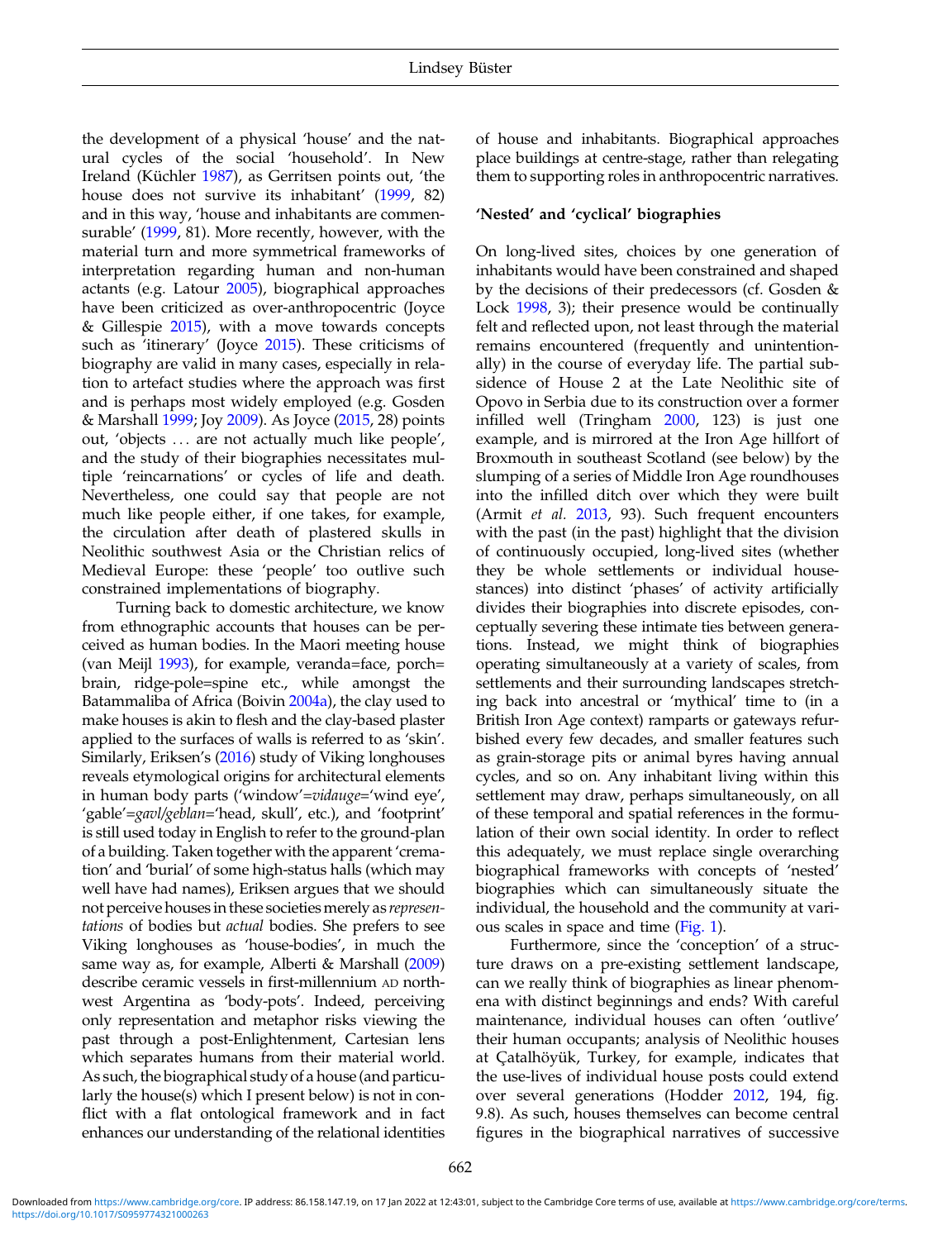the development of a physical 'house' and the natural cycles of the social 'household'. In New Ireland (Küchler [1987](#page-13-0)), as Gerritsen points out, 'the house does not survive its inhabitant' [\(1999](#page-12-0), 82) and in this way, 'house and inhabitants are commensurable' [\(1999](#page-12-0), 81). More recently, however, with the material turn and more symmetrical frameworks of interpretation regarding human and non-human actants (e.g. Latour [2005](#page-13-0)), biographical approaches have been criticized as over-anthropocentric (Joyce & Gillespie [2015](#page-13-0)), with a move towards concepts such as 'itinerary' (Joyce [2015\)](#page-12-0). These criticisms of biography are valid in many cases, especially in relation to artefact studies where the approach was first and is perhaps most widely employed (e.g. Gosden & Marshall [1999;](#page-12-0) Joy [2009](#page-12-0)). As Joyce ([2015,](#page-12-0) 28) points out, 'objects ... are not actually much like people', and the study of their biographies necessitates multiple 'reincarnations' or cycles of life and death. Nevertheless, one could say that people are not much like people either, if one takes, for example, the circulation after death of plastered skulls in Neolithic southwest Asia or the Christian relics of Medieval Europe: these 'people' too outlive such constrained implementations of biography.

Turning back to domestic architecture, we know from ethnographic accounts that houses can be perceived as human bodies. In the Maori meeting house (van Meijl [1993](#page-13-0)), for example, veranda=face, porch= brain, ridge-pole=spine etc., while amongst the Batammaliba of Africa (Boivin [2004a\)](#page-11-0), the clay used to make houses is akin to flesh and the clay-based plaster applied to the surfaces of walls is referred to as 'skin'. Similarly, Eriksen's ([2016](#page-12-0)) study of Viking longhouses reveals etymological origins for architectural elements in human body parts ('window'=vidauge='wind eye', 'gable'=gavl/geblan='head, skull', etc.), and 'footprint' is still used today in English to refer to the ground-plan of a building. Taken together with the apparent 'cremation' and 'burial' of some high-status halls (which may well have had names), Eriksen argues that we should not perceive houses in these societies merely as representations of bodies but actual bodies. She prefers to see Viking longhouses as 'house-bodies', in much the same way as, for example, Alberti & Marshall [\(2009\)](#page-11-0) describe ceramic vessels in first-millennium AD northwest Argentina as 'body-pots'. Indeed, perceiving only representation and metaphor risks viewing the past through a post-Enlightenment, Cartesian lens which separates humans from their material world. As such, the biographical study of a house (and particularly the house(s) which I present below) is not in conflict with a flat ontological framework and in fact enhances our understanding of the relational identities

of house and inhabitants. Biographical approaches place buildings at centre-stage, rather than relegating them to supporting roles in anthropocentric narratives.

#### 'Nested' and 'cyclical' biographies

On long-lived sites, choices by one generation of inhabitants would have been constrained and shaped by the decisions of their predecessors (cf. Gosden & Lock [1998,](#page-12-0) 3); their presence would be continually felt and reflected upon, not least through the material remains encountered (frequently and unintentionally) in the course of everyday life. The partial subsidence of House 2 at the Late Neolithic site of Opovo in Serbia due to its construction over a former infilled well (Tringham [2000](#page-13-0), 123) is just one example, and is mirrored at the Iron Age hillfort of Broxmouth in southeast Scotland (see below) by the slumping of a series of Middle Iron Age roundhouses into the infilled ditch over which they were built (Armit et al. [2013](#page-11-0), 93). Such frequent encounters with the past (in the past) highlight that the division of continuously occupied, long-lived sites (whether they be whole settlements or individual housestances) into distinct 'phases' of activity artificially divides their biographies into discrete episodes, conceptually severing these intimate ties between generations. Instead, we might think of biographies operating simultaneously at a variety of scales, from settlements and their surrounding landscapes stretching back into ancestral or 'mythical' time to (in a British Iron Age context) ramparts or gateways refurbished every few decades, and smaller features such as grain-storage pits or animal byres having annual cycles, and so on. Any inhabitant living within this settlement may draw, perhaps simultaneously, on all of these temporal and spatial references in the formulation of their own social identity. In order to reflect this adequately, we must replace single overarching biographical frameworks with concepts of 'nested' biographies which can simultaneously situate the individual, the household and the community at various scales in space and time [\(Fig. 1](#page-2-0)).

Furthermore, since the 'conception' of a structure draws on a pre-existing settlement landscape, can we really think of biographies as linear phenomena with distinct beginnings and ends? With careful maintenance, individual houses can often 'outlive' their human occupants; analysis of Neolithic houses at Çatalhöyük, Turkey, for example, indicates that the use-lives of individual house posts could extend over several generations (Hodder [2012,](#page-12-0) 194, fig. 9.8). As such, houses themselves can become central figures in the biographical narratives of successive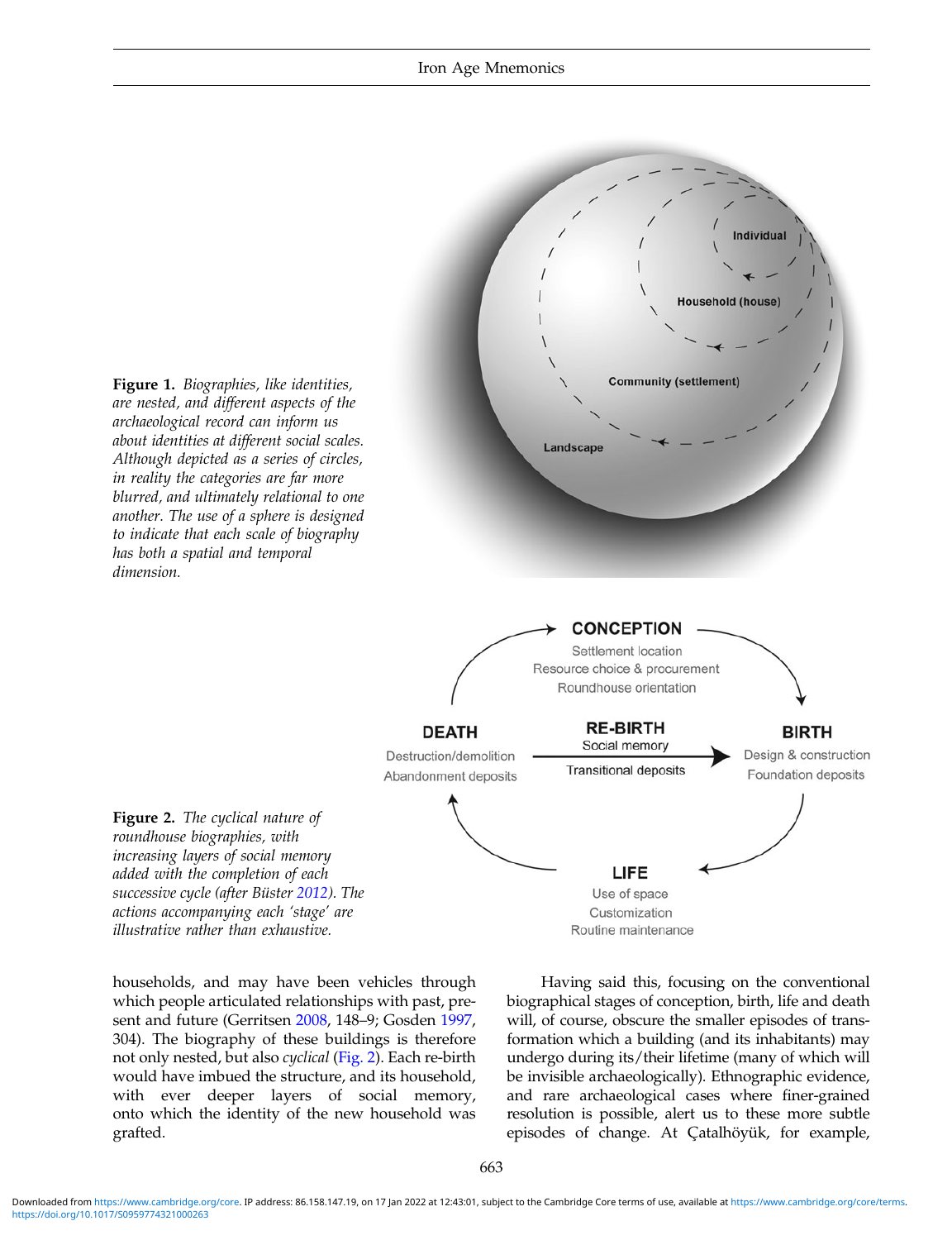<span id="page-2-0"></span>

households, and may have been vehicles through which people articulated relationships with past, present and future (Gerritsen [2008,](#page-12-0) 148–9; Gosden [1997](#page-12-0), 304). The biography of these buildings is therefore not only nested, but also cyclical (Fig. 2). Each re-birth would have imbued the structure, and its household, with ever deeper layers of social memory, onto which the identity of the new household was grafted.

Having said this, focusing on the conventional biographical stages of conception, birth, life and death will, of course, obscure the smaller episodes of transformation which a building (and its inhabitants) may undergo during its/their lifetime (many of which will be invisible archaeologically). Ethnographic evidence, and rare archaeological cases where finer-grained resolution is possible, alert us to these more subtle episodes of change. At Çatalhöyük, for example,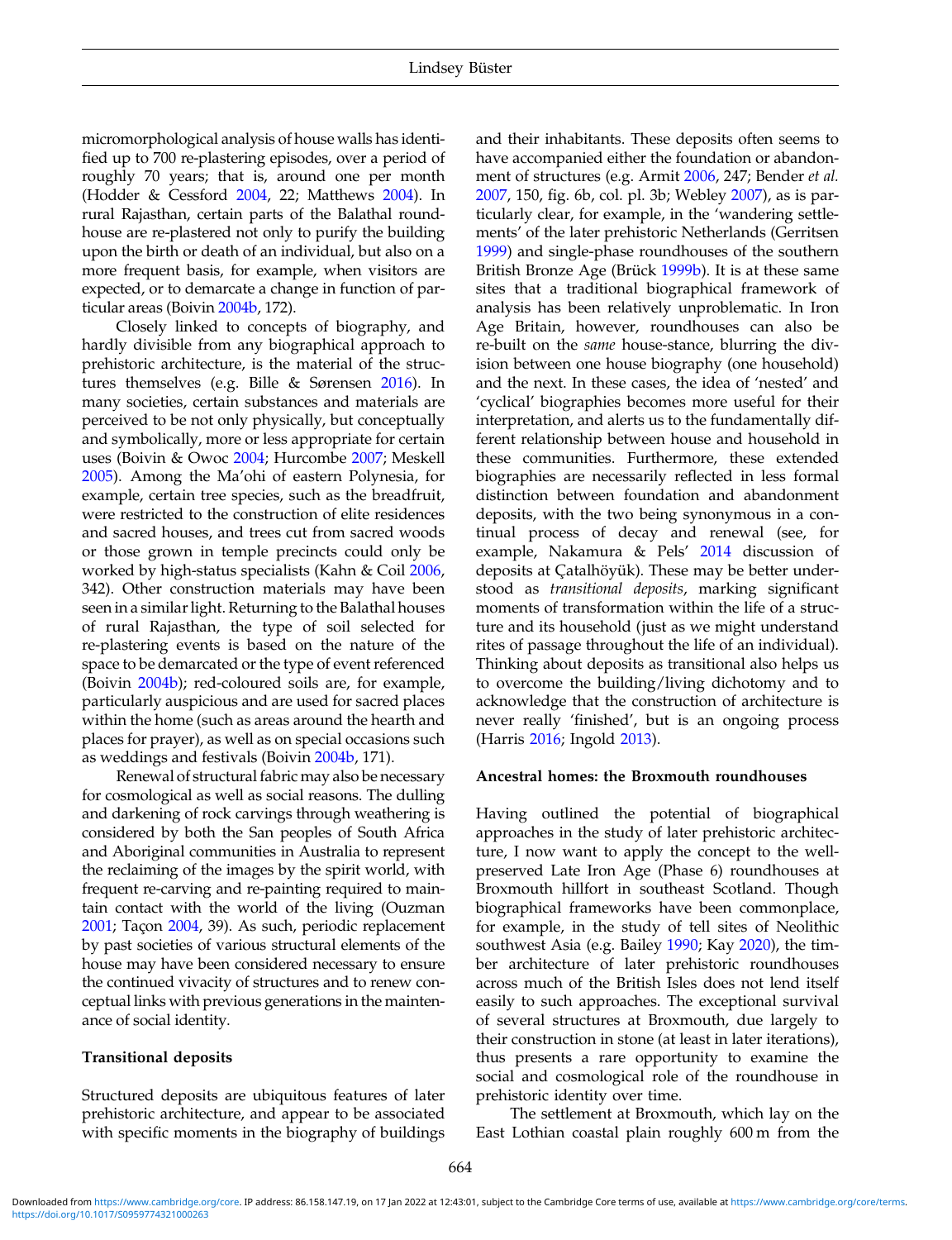micromorphological analysis of house walls has identified up to 700 re-plastering episodes, over a period of roughly 70 years; that is, around one per month (Hodder & Cessford [2004](#page-12-0), 22; Matthews [2004\)](#page-13-0). In rural Rajasthan, certain parts of the Balathal roundhouse are re-plastered not only to purify the building upon the birth or death of an individual, but also on a more frequent basis, for example, when visitors are expected, or to demarcate a change in function of particular areas (Boivin [2004b,](#page-11-0) 172).

Closely linked to concepts of biography, and hardly divisible from any biographical approach to prehistoric architecture, is the material of the structures themselves (e.g. Bille & Sørensen [2016](#page-11-0)). In many societies, certain substances and materials are perceived to be not only physically, but conceptually and symbolically, more or less appropriate for certain uses (Boivin & Owoc [2004;](#page-11-0) Hurcombe [2007](#page-12-0); Meskell [2005](#page-13-0)). Among the Ma'ohi of eastern Polynesia, for example, certain tree species, such as the breadfruit, were restricted to the construction of elite residences and sacred houses, and trees cut from sacred woods or those grown in temple precincts could only be worked by high-status specialists (Kahn & Coil [2006](#page-13-0), 342). Other construction materials may have been seen in a similar light. Returning to the Balathal houses of rural Rajasthan, the type of soil selected for re-plastering events is based on the nature of the space to be demarcated or the type of event referenced (Boivin [2004b](#page-11-0)); red-coloured soils are, for example, particularly auspicious and are used for sacred places within the home (such as areas around the hearth and places for prayer), as well as on special occasions such as weddings and festivals (Boivin [2004b](#page-11-0), 171).

Renewal of structural fabric may also be necessary for cosmological as well as social reasons. The dulling and darkening of rock carvings through weathering is considered by both the San peoples of South Africa and Aboriginal communities in Australia to represent the reclaiming of the images by the spirit world, with frequent re-carving and re-painting required to maintain contact with the world of the living (Ouzman [2001](#page-13-0); Taçon [2004](#page-13-0), 39). As such, periodic replacement by past societies of various structural elements of the house may have been considered necessary to ensure the continued vivacity of structures and to renew conceptual links with previous generations in the maintenance of social identity.

#### Transitional deposits

Structured deposits are ubiquitous features of later prehistoric architecture, and appear to be associated with specific moments in the biography of buildings

and their inhabitants. These deposits often seems to have accompanied either the foundation or abandonment of structures (e.g. Armit [2006](#page-11-0), 247; Bender et al. [2007,](#page-11-0) 150, fig. 6b, col. pl. 3b; Webley [2007](#page-13-0)), as is particularly clear, for example, in the 'wandering settlements' of the later prehistoric Netherlands (Gerritsen [1999\)](#page-12-0) and single-phase roundhouses of the southern British Bronze Age (Brück [1999b](#page-12-0)). It is at these same sites that a traditional biographical framework of analysis has been relatively unproblematic. In Iron Age Britain, however, roundhouses can also be re-built on the same house-stance, blurring the division between one house biography (one household) and the next. In these cases, the idea of 'nested' and 'cyclical' biographies becomes more useful for their interpretation, and alerts us to the fundamentally different relationship between house and household in these communities. Furthermore, these extended biographies are necessarily reflected in less formal distinction between foundation and abandonment deposits, with the two being synonymous in a continual process of decay and renewal (see, for example, Nakamura & Pels' [2014](#page-13-0) discussion of deposits at Çatalhöyük). These may be better understood as transitional deposits, marking significant moments of transformation within the life of a structure and its household (just as we might understand rites of passage throughout the life of an individual). Thinking about deposits as transitional also helps us to overcome the building/living dichotomy and to acknowledge that the construction of architecture is never really 'finished', but is an ongoing process (Harris [2016](#page-12-0); Ingold [2013](#page-12-0)).

# Ancestral homes: the Broxmouth roundhouses

Having outlined the potential of biographical approaches in the study of later prehistoric architecture, I now want to apply the concept to the wellpreserved Late Iron Age (Phase 6) roundhouses at Broxmouth hillfort in southeast Scotland. Though biographical frameworks have been commonplace, for example, in the study of tell sites of Neolithic southwest Asia (e.g. Bailey [1990](#page-11-0); Kay [2020](#page-13-0)), the timber architecture of later prehistoric roundhouses across much of the British Isles does not lend itself easily to such approaches. The exceptional survival of several structures at Broxmouth, due largely to their construction in stone (at least in later iterations), thus presents a rare opportunity to examine the social and cosmological role of the roundhouse in prehistoric identity over time.

The settlement at Broxmouth, which lay on the East Lothian coastal plain roughly 600 m from the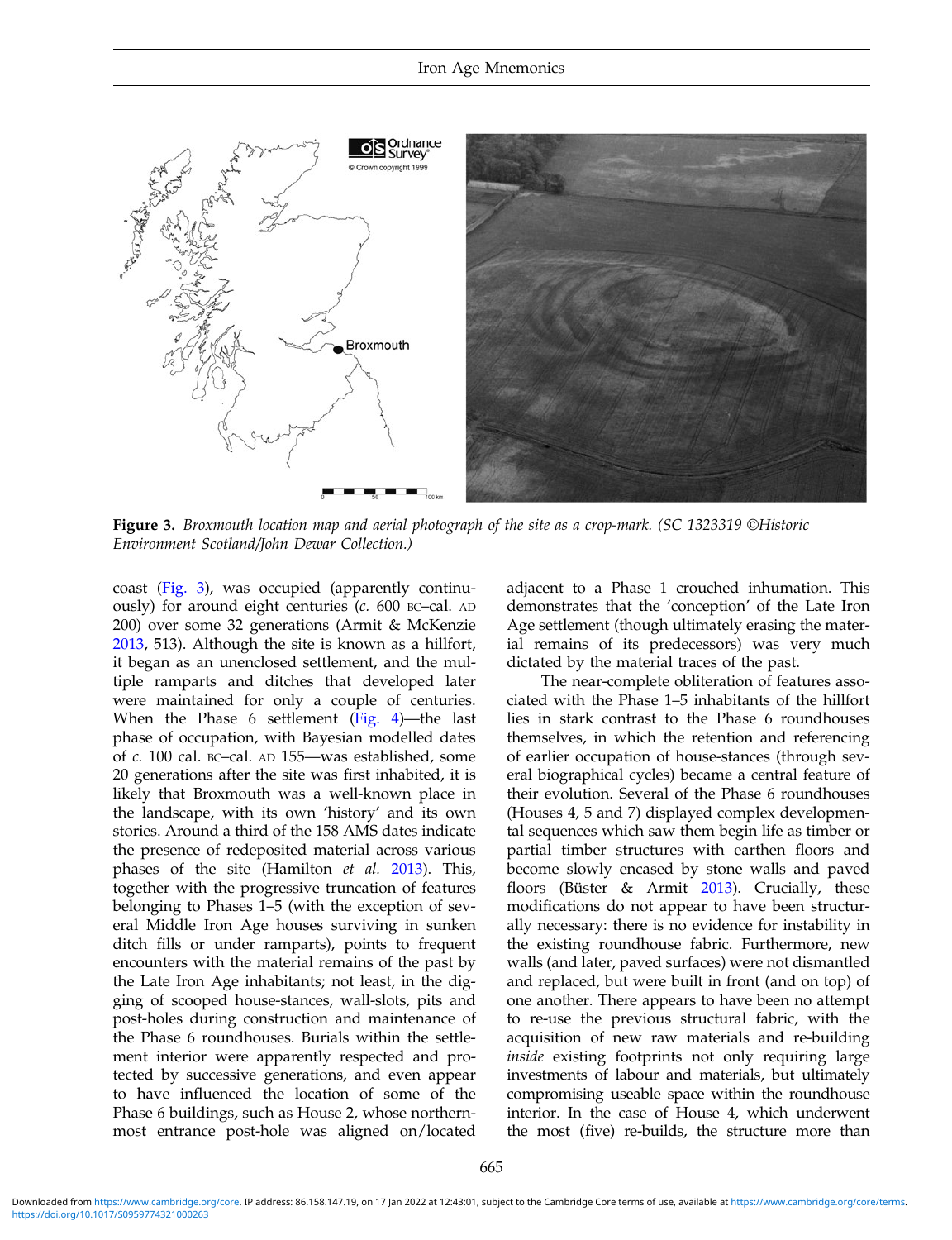

Figure 3. Broxmouth location map and aerial photograph of the site as a crop-mark. (SC 1323319 ©Historic Environment Scotland/John Dewar Collection.)

coast (Fig. 3), was occupied (apparently continuously) for around eight centuries (c. 600 BC–cal. AD 200) over some 32 generations (Armit & McKenzie [2013](#page-11-0), 513). Although the site is known as a hillfort, it began as an unenclosed settlement, and the multiple ramparts and ditches that developed later were maintained for only a couple of centuries. When the Phase 6 settlement [\(Fig. 4\)](#page-5-0)—the last phase of occupation, with Bayesian modelled dates of c. 100 cal. BC–cal. AD 155—was established, some 20 generations after the site was first inhabited, it is likely that Broxmouth was a well-known place in the landscape, with its own 'history' and its own stories. Around a third of the 158 AMS dates indicate the presence of redeposited material across various phases of the site (Hamilton et al. [2013\)](#page-12-0). This, together with the progressive truncation of features belonging to Phases 1–5 (with the exception of several Middle Iron Age houses surviving in sunken ditch fills or under ramparts), points to frequent encounters with the material remains of the past by the Late Iron Age inhabitants; not least, in the digging of scooped house-stances, wall-slots, pits and post-holes during construction and maintenance of the Phase 6 roundhouses. Burials within the settlement interior were apparently respected and protected by successive generations, and even appear to have influenced the location of some of the Phase 6 buildings, such as House 2, whose northernmost entrance post-hole was aligned on/located

adjacent to a Phase 1 crouched inhumation. This demonstrates that the 'conception' of the Late Iron Age settlement (though ultimately erasing the material remains of its predecessors) was very much dictated by the material traces of the past.

The near-complete obliteration of features associated with the Phase 1–5 inhabitants of the hillfort lies in stark contrast to the Phase 6 roundhouses themselves, in which the retention and referencing of earlier occupation of house-stances (through several biographical cycles) became a central feature of their evolution. Several of the Phase 6 roundhouses (Houses 4, 5 and 7) displayed complex developmental sequences which saw them begin life as timber or partial timber structures with earthen floors and become slowly encased by stone walls and paved floors (Büster & Armit [2013\)](#page-12-0). Crucially, these modifications do not appear to have been structurally necessary: there is no evidence for instability in the existing roundhouse fabric. Furthermore, new walls (and later, paved surfaces) were not dismantled and replaced, but were built in front (and on top) of one another. There appears to have been no attempt to re-use the previous structural fabric, with the acquisition of new raw materials and re-building inside existing footprints not only requiring large investments of labour and materials, but ultimately compromising useable space within the roundhouse interior. In the case of House 4, which underwent the most (five) re-builds, the structure more than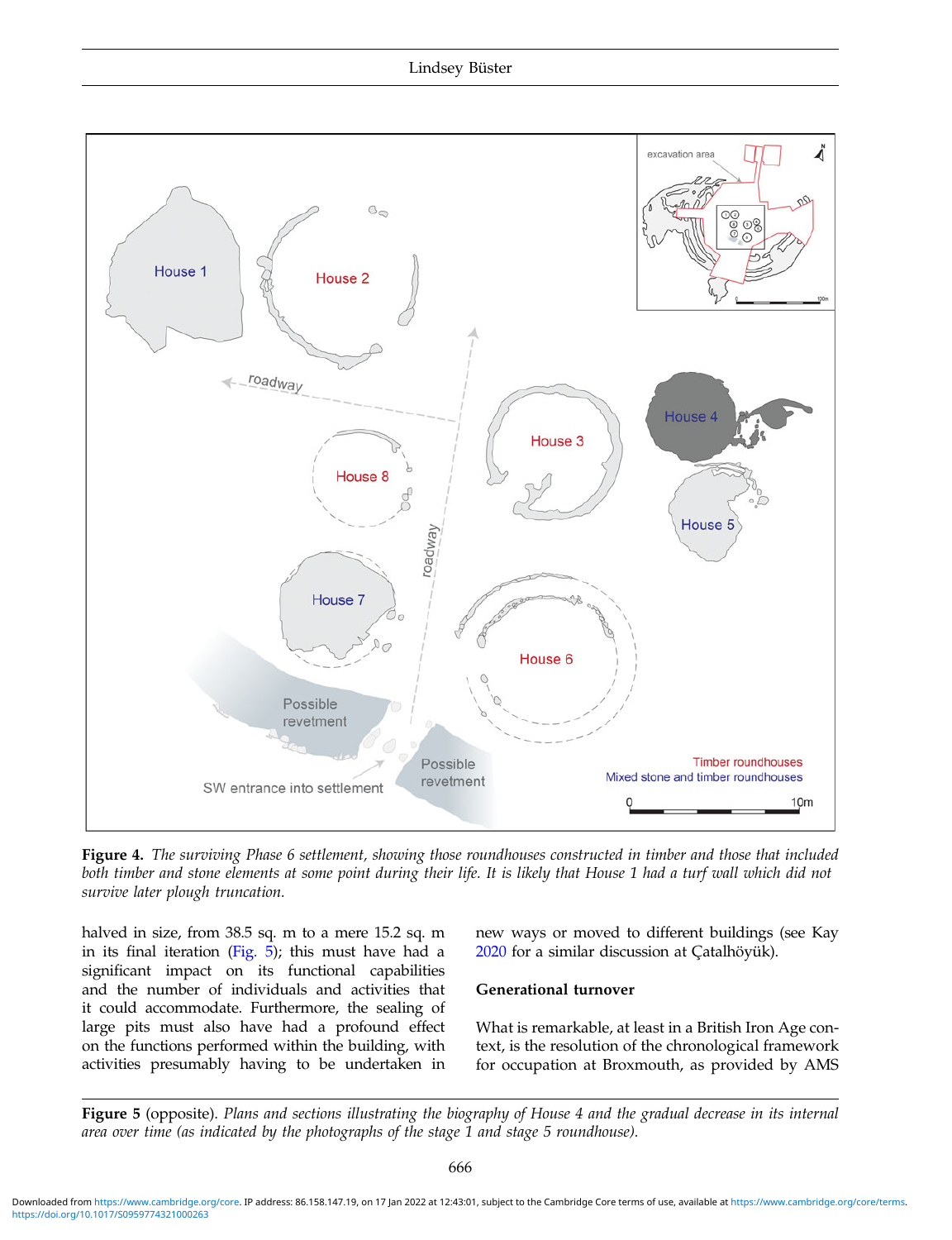<span id="page-5-0"></span>

Figure 4. The surviving Phase 6 settlement, showing those roundhouses constructed in timber and those that included both timber and stone elements at some point during their life. It is likely that House 1 had a turf wall which did not survive later plough truncation.

halved in size, from 38.5 sq. m to a mere 15.2 sq. m in its final iteration (Fig.  $5$ ); this must have had a significant impact on its functional capabilities and the number of individuals and activities that it could accommodate. Furthermore, the sealing of large pits must also have had a profound effect on the functions performed within the building, with activities presumably having to be undertaken in new ways or moved to different buildings (see Kay [2020](#page-13-0) for a similar discussion at Çatalhöyük).

# Generational turnover

What is remarkable, at least in a British Iron Age context, is the resolution of the chronological framework for occupation at Broxmouth, as provided by AMS

Figure 5 (opposite). Plans and sections illustrating the biography of House 4 and the gradual decrease in its internal area over time (as indicated by the photographs of the stage 1 and stage 5 roundhouse).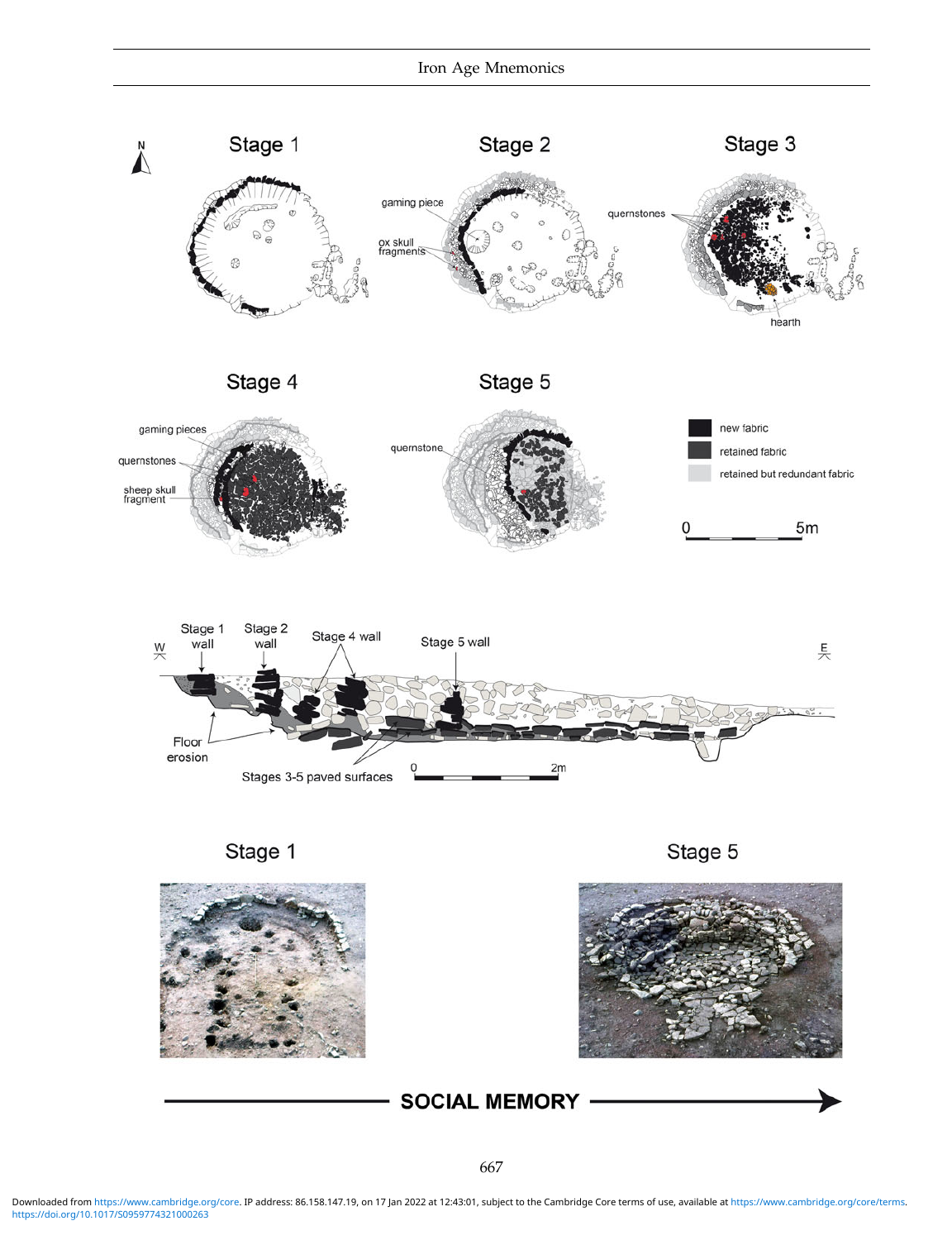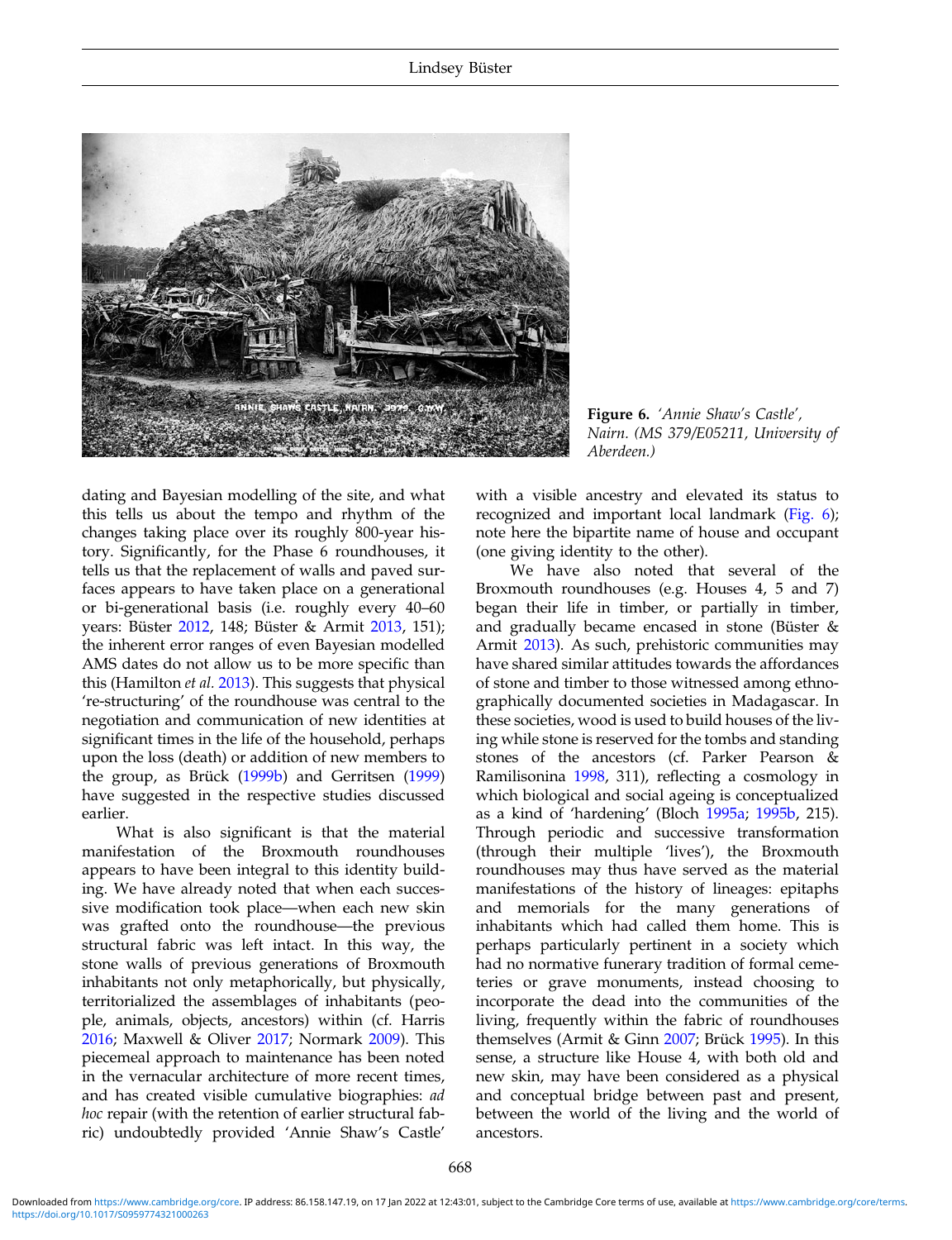

Figure 6. 'Annie Shaw's Castle', Nairn. (MS 379/E05211, University of Aberdeen.)

dating and Bayesian modelling of the site, and what this tells us about the tempo and rhythm of the changes taking place over its roughly 800-year history. Significantly, for the Phase 6 roundhouses, it tells us that the replacement of walls and paved surfaces appears to have taken place on a generational or bi-generational basis (i.e. roughly every 40–60 years: Büster [2012](#page-12-0), 148; Büster & Armit [2013](#page-12-0), 151); the inherent error ranges of even Bayesian modelled AMS dates do not allow us to be more specific than this (Hamilton et al. [2013](#page-12-0)). This suggests that physical 're-structuring' of the roundhouse was central to the negotiation and communication of new identities at significant times in the life of the household, perhaps upon the loss (death) or addition of new members to the group, as Brück ([1999b](#page-12-0)) and Gerritsen ([1999\)](#page-12-0) have suggested in the respective studies discussed earlier.

What is also significant is that the material manifestation of the Broxmouth roundhouses appears to have been integral to this identity building. We have already noted that when each successive modification took place—when each new skin was grafted onto the roundhouse—the previous structural fabric was left intact. In this way, the stone walls of previous generations of Broxmouth inhabitants not only metaphorically, but physically, territorialized the assemblages of inhabitants (people, animals, objects, ancestors) within (cf. Harris [2016](#page-12-0); Maxwell & Oliver [2017;](#page-13-0) Normark [2009](#page-13-0)). This piecemeal approach to maintenance has been noted in the vernacular architecture of more recent times, and has created visible cumulative biographies: ad hoc repair (with the retention of earlier structural fabric) undoubtedly provided 'Annie Shaw's Castle'

with a visible ancestry and elevated its status to recognized and important local landmark (Fig. 6); note here the bipartite name of house and occupant (one giving identity to the other).

We have also noted that several of the Broxmouth roundhouses (e.g. Houses 4, 5 and 7) began their life in timber, or partially in timber, and gradually became encased in stone (Büster & Armit [2013\)](#page-12-0). As such, prehistoric communities may have shared similar attitudes towards the affordances of stone and timber to those witnessed among ethnographically documented societies in Madagascar. In these societies, wood is used to build houses of the living while stone is reserved for the tombs and standing stones of the ancestors (cf. Parker Pearson & Ramilisonina [1998](#page-13-0), 311), reflecting a cosmology in which biological and social ageing is conceptualized as a kind of 'hardening' (Bloch [1995a](#page-11-0); [1995b,](#page-11-0) 215). Through periodic and successive transformation (through their multiple 'lives'), the Broxmouth roundhouses may thus have served as the material manifestations of the history of lineages: epitaphs and memorials for the many generations of inhabitants which had called them home. This is perhaps particularly pertinent in a society which had no normative funerary tradition of formal cemeteries or grave monuments, instead choosing to incorporate the dead into the communities of the living, frequently within the fabric of roundhouses themselves (Armit & Ginn [2007](#page-11-0); Brück [1995\)](#page-12-0). In this sense, a structure like House 4, with both old and new skin, may have been considered as a physical and conceptual bridge between past and present, between the world of the living and the world of ancestors.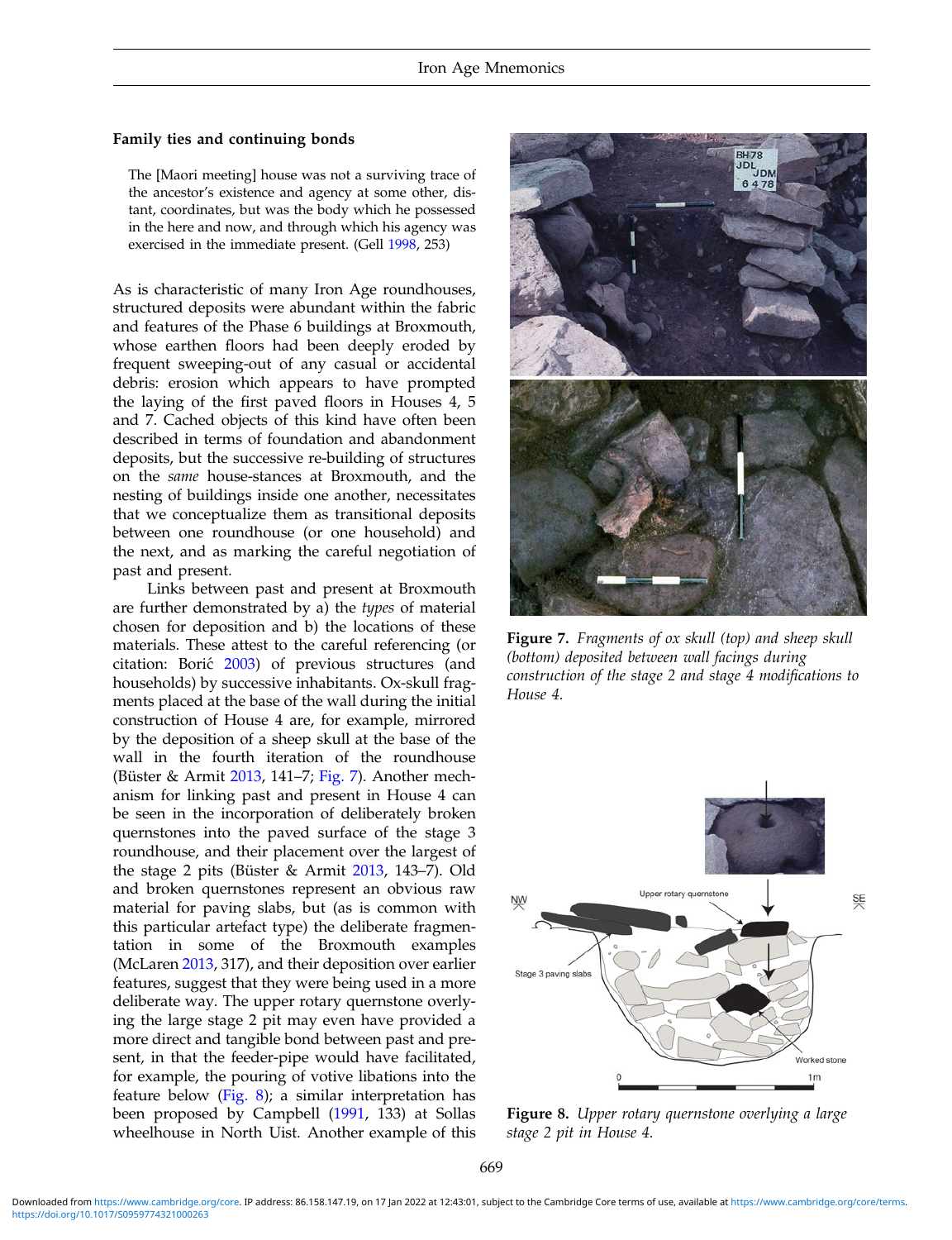# <span id="page-8-0"></span>Family ties and continuing bonds

The [Maori meeting] house was not a surviving trace of the ancestor's existence and agency at some other, distant, coordinates, but was the body which he possessed in the here and now, and through which his agency was exercised in the immediate present. (Gell [1998,](#page-12-0) 253)

As is characteristic of many Iron Age roundhouses, structured deposits were abundant within the fabric and features of the Phase 6 buildings at Broxmouth, whose earthen floors had been deeply eroded by frequent sweeping-out of any casual or accidental debris: erosion which appears to have prompted the laying of the first paved floors in Houses 4, 5 and 7. Cached objects of this kind have often been described in terms of foundation and abandonment deposits, but the successive re-building of structures on the same house-stances at Broxmouth, and the nesting of buildings inside one another, necessitates that we conceptualize them as transitional deposits between one roundhouse (or one household) and the next, and as marking the careful negotiation of past and present.

Links between past and present at Broxmouth are further demonstrated by a) the types of material chosen for deposition and b) the locations of these materials. These attest to the careful referencing (or citation: Borić [2003\)](#page-11-0) of previous structures (and households) by successive inhabitants. Ox-skull fragments placed at the base of the wall during the initial construction of House 4 are, for example, mirrored by the deposition of a sheep skull at the base of the wall in the fourth iteration of the roundhouse (Büster & Armit [2013,](#page-12-0) 141–7; Fig. 7). Another mechanism for linking past and present in House 4 can be seen in the incorporation of deliberately broken quernstones into the paved surface of the stage 3 roundhouse, and their placement over the largest of the stage 2 pits (Büster & Armit [2013,](#page-12-0) 143–7). Old and broken quernstones represent an obvious raw material for paving slabs, but (as is common with this particular artefact type) the deliberate fragmentation in some of the Broxmouth examples (McLaren [2013,](#page-13-0) 317), and their deposition over earlier features, suggest that they were being used in a more deliberate way. The upper rotary quernstone overlying the large stage 2 pit may even have provided a more direct and tangible bond between past and present, in that the feeder-pipe would have facilitated, for example, the pouring of votive libations into the feature below (Fig. 8); a similar interpretation has been proposed by Campbell ([1991,](#page-12-0) 133) at Sollas wheelhouse in North Uist. Another example of this



Figure 7. Fragments of ox skull (top) and sheep skull (bottom) deposited between wall facings during construction of the stage 2 and stage 4 modifications to House 4.



Figure 8. Upper rotary quernstone overlying a large stage 2 pit in House 4.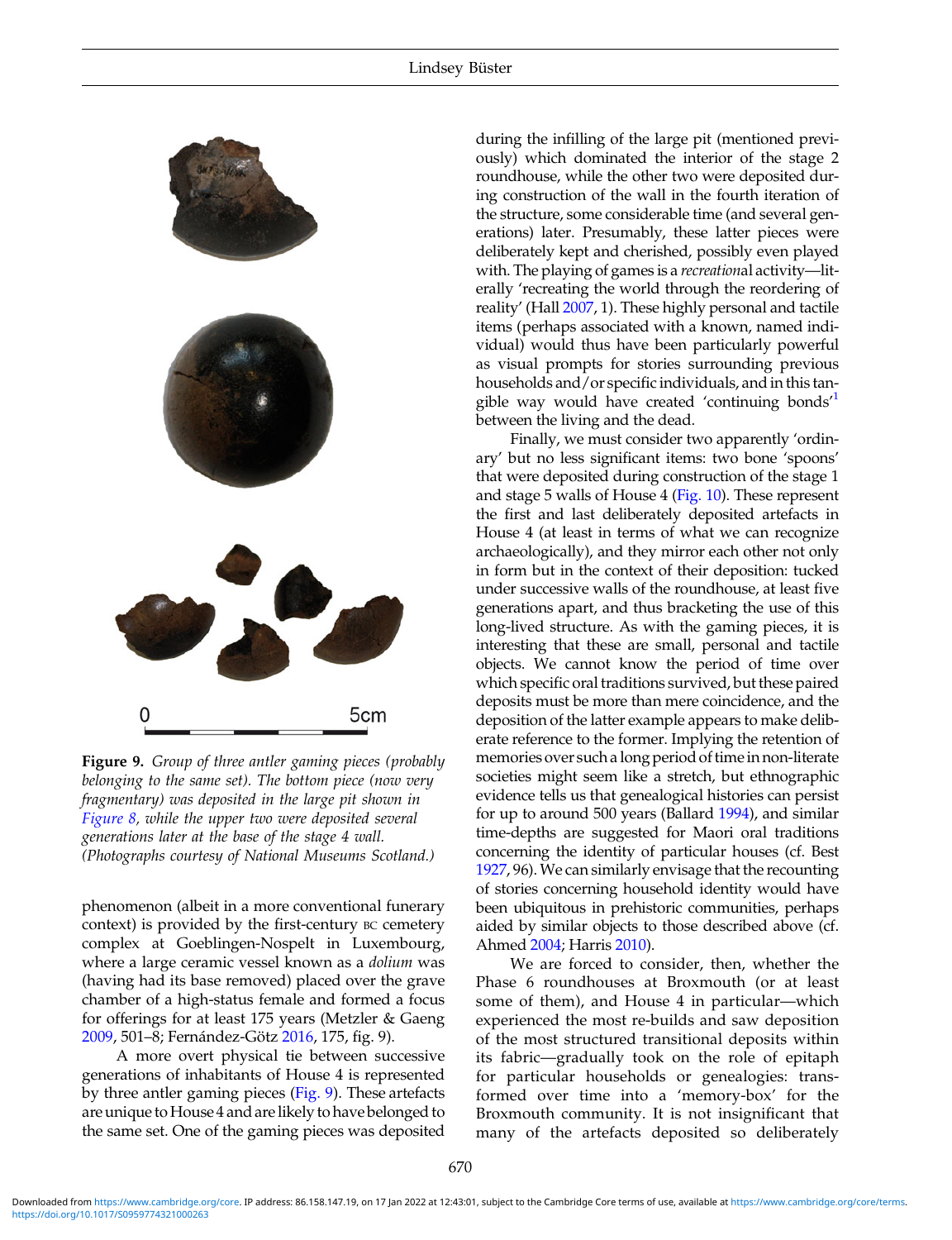

Figure 9. Group of three antler gaming pieces (probably belonging to the same set). The bottom piece (now very fragmentary) was deposited in the large pit shown in [Figure 8](#page-8-0), while the upper two were deposited several generations later at the base of the stage 4 wall. (Photographs courtesy of National Museums Scotland.)

phenomenon (albeit in a more conventional funerary context) is provided by the first-century BC cemetery complex at Goeblingen-Nospelt in Luxembourg, where a large ceramic vessel known as a dolium was (having had its base removed) placed over the grave chamber of a high-status female and formed a focus for offerings for at least 175 years (Metzler & Gaeng [2009](#page-13-0), 501–8; Fernández-Götz [2016,](#page-12-0) 175, fig. 9).

A more overt physical tie between successive generations of inhabitants of House 4 is represented by three antler gaming pieces (Fig. 9). These artefacts are unique to House 4 and are likely to have belonged to the same set. One of the gaming pieces was deposited

during the infilling of the large pit (mentioned previously) which dominated the interior of the stage 2 roundhouse, while the other two were deposited during construction of the wall in the fourth iteration of the structure, some considerable time (and several generations) later. Presumably, these latter pieces were deliberately kept and cherished, possibly even played with. The playing of games is a *recreational* activity—literally 'recreating the world through the reordering of reality' (Hall [2007](#page-12-0), 1). These highly personal and tactile items (perhaps associated with a known, named individual) would thus have been particularly powerful as visual prompts for stories surrounding previous households and/or specific individuals, and in this tan-gible way would have created 'continuing bonds<sup>[1](#page-11-0)</sup> between the living and the dead.

Finally, we must consider two apparently 'ordinary' but no less significant items: two bone 'spoons' that were deposited during construction of the stage 1 and stage 5 walls of House 4 [\(Fig. 10\)](#page-10-0). These represent the first and last deliberately deposited artefacts in House 4 (at least in terms of what we can recognize archaeologically), and they mirror each other not only in form but in the context of their deposition: tucked under successive walls of the roundhouse, at least five generations apart, and thus bracketing the use of this long-lived structure. As with the gaming pieces, it is interesting that these are small, personal and tactile objects. We cannot know the period of time over which specific oral traditions survived, but these paired deposits must be more than mere coincidence, and the deposition of the latter example appears to make deliberate reference to the former. Implying the retention of memories over such a long period of time in non-literate societies might seem like a stretch, but ethnographic evidence tells us that genealogical histories can persist for up to around 500 years (Ballard [1994\)](#page-11-0), and similar time-depths are suggested for Maori oral traditions concerning the identity of particular houses (cf. Best [1927](#page-11-0), 96).We can similarly envisage that the recounting of stories concerning household identity would have been ubiquitous in prehistoric communities, perhaps aided by similar objects to those described above (cf. Ahmed [2004](#page-11-0); Harris [2010\)](#page-12-0).

We are forced to consider, then, whether the Phase 6 roundhouses at Broxmouth (or at least some of them), and House 4 in particular—which experienced the most re-builds and saw deposition of the most structured transitional deposits within its fabric—gradually took on the role of epitaph for particular households or genealogies: transformed over time into a 'memory-box' for the Broxmouth community. It is not insignificant that many of the artefacts deposited so deliberately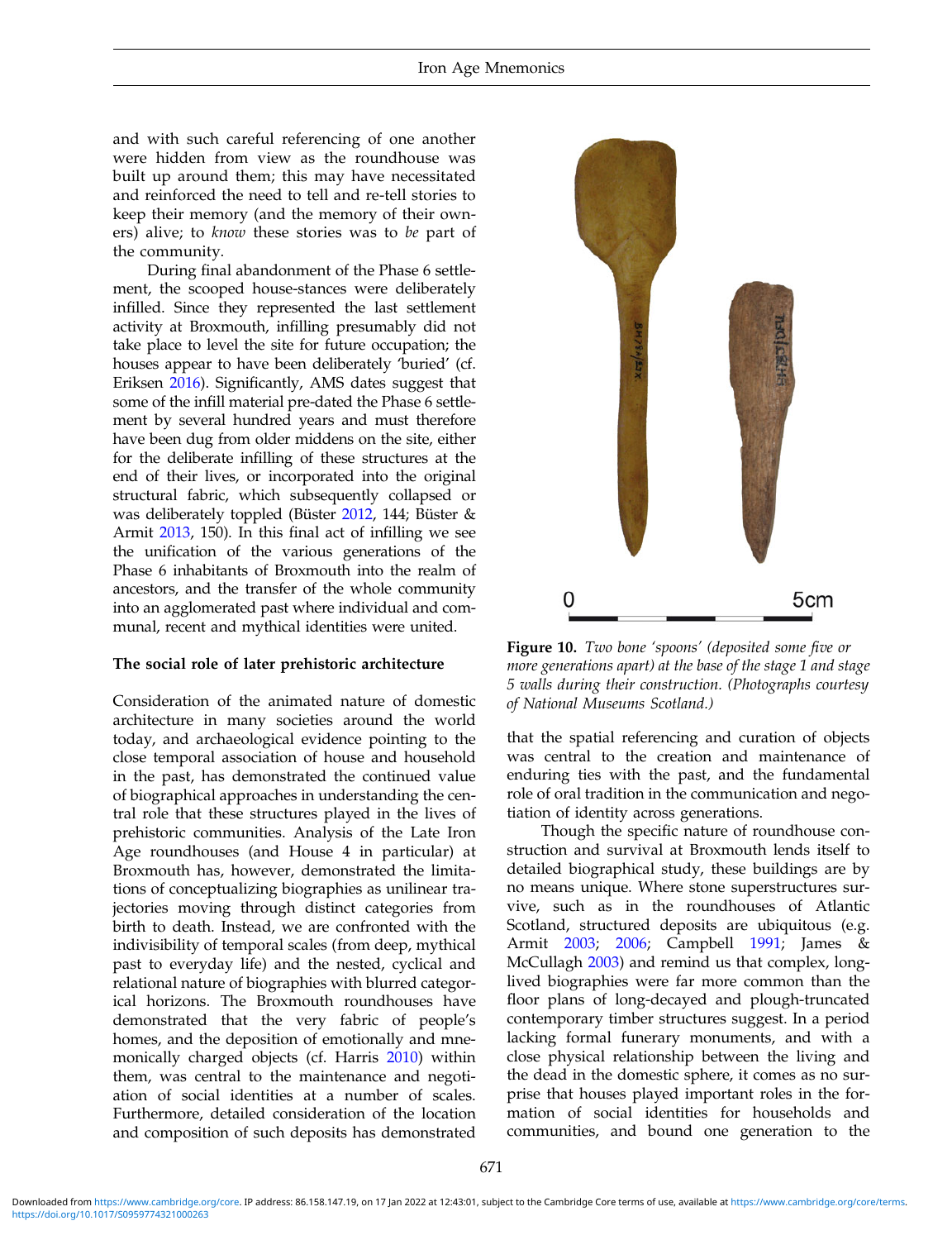<span id="page-10-0"></span>and with such careful referencing of one another were hidden from view as the roundhouse was built up around them; this may have necessitated and reinforced the need to tell and re-tell stories to keep their memory (and the memory of their owners) alive; to know these stories was to be part of the community.

During final abandonment of the Phase 6 settlement, the scooped house-stances were deliberately infilled. Since they represented the last settlement activity at Broxmouth, infilling presumably did not take place to level the site for future occupation; the houses appear to have been deliberately 'buried' (cf. Eriksen [2016](#page-12-0)). Significantly, AMS dates suggest that some of the infill material pre-dated the Phase 6 settlement by several hundred years and must therefore have been dug from older middens on the site, either for the deliberate infilling of these structures at the end of their lives, or incorporated into the original structural fabric, which subsequently collapsed or was deliberately toppled (Büster [2012,](#page-12-0) 144; Büster & Armit [2013,](#page-12-0) 150). In this final act of infilling we see the unification of the various generations of the Phase 6 inhabitants of Broxmouth into the realm of ancestors, and the transfer of the whole community into an agglomerated past where individual and communal, recent and mythical identities were united.

### The social role of later prehistoric architecture

Consideration of the animated nature of domestic architecture in many societies around the world today, and archaeological evidence pointing to the close temporal association of house and household in the past, has demonstrated the continued value of biographical approaches in understanding the central role that these structures played in the lives of prehistoric communities. Analysis of the Late Iron Age roundhouses (and House 4 in particular) at Broxmouth has, however, demonstrated the limitations of conceptualizing biographies as unilinear trajectories moving through distinct categories from birth to death. Instead, we are confronted with the indivisibility of temporal scales (from deep, mythical past to everyday life) and the nested, cyclical and relational nature of biographies with blurred categorical horizons. The Broxmouth roundhouses have demonstrated that the very fabric of people's homes, and the deposition of emotionally and mnemonically charged objects (cf. Harris [2010\)](#page-12-0) within them, was central to the maintenance and negotiation of social identities at a number of scales. Furthermore, detailed consideration of the location and composition of such deposits has demonstrated



Figure 10. Two bone 'spoons' (deposited some five or more generations apart) at the base of the stage 1 and stage 5 walls during their construction. (Photographs courtesy of National Museums Scotland.)

that the spatial referencing and curation of objects was central to the creation and maintenance of enduring ties with the past, and the fundamental role of oral tradition in the communication and negotiation of identity across generations.

Though the specific nature of roundhouse construction and survival at Broxmouth lends itself to detailed biographical study, these buildings are by no means unique. Where stone superstructures survive, such as in the roundhouses of Atlantic Scotland, structured deposits are ubiquitous (e.g. Armit [2003](#page-11-0); [2006](#page-11-0); Campbell [1991](#page-12-0); James & McCullagh [2003\)](#page-12-0) and remind us that complex, longlived biographies were far more common than the floor plans of long-decayed and plough-truncated contemporary timber structures suggest. In a period lacking formal funerary monuments, and with a close physical relationship between the living and the dead in the domestic sphere, it comes as no surprise that houses played important roles in the formation of social identities for households and communities, and bound one generation to the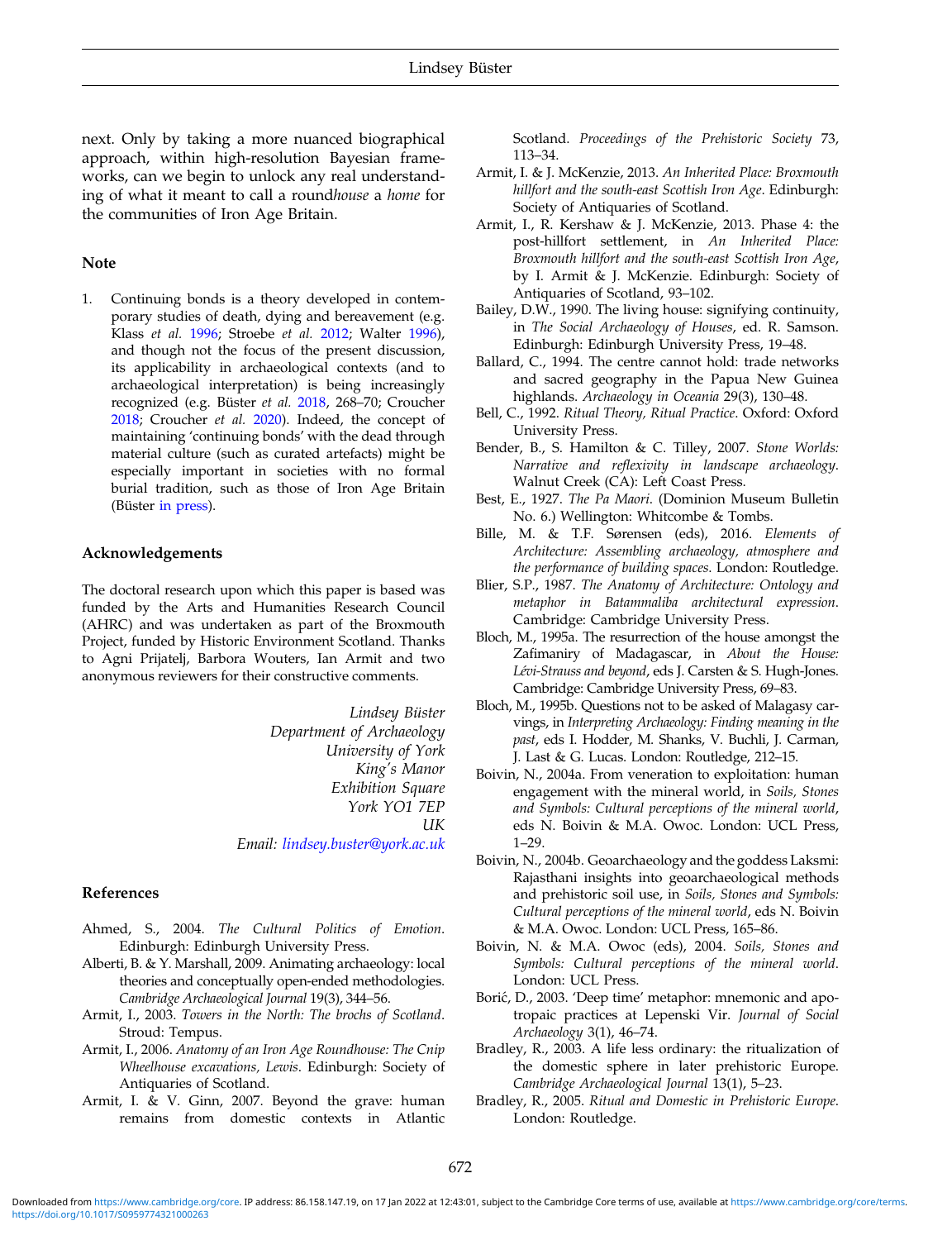<span id="page-11-0"></span>next. Only by taking a more nuanced biographical approach, within high-resolution Bayesian frameworks, can we begin to unlock any real understanding of what it meant to call a roundhouse a home for the communities of Iron Age Britain.

# Note

1. Continuing bonds is a theory developed in contemporary studies of death, dying and bereavement (e.g. Klass et al. [1996;](#page-13-0) Stroebe et al. [2012](#page-13-0); Walter [1996\)](#page-13-0), and though not the focus of the present discussion, its applicability in archaeological contexts (and to archaeological interpretation) is being increasingly recognized (e.g. Büster et al. [2018,](#page-12-0) 268–70; Croucher [2018](#page-12-0); Croucher et al. [2020](#page-12-0)). Indeed, the concept of maintaining 'continuing bonds' with the dead through material culture (such as curated artefacts) might be especially important in societies with no formal burial tradition, such as those of Iron Age Britain (Büster [in press](#page-12-0)).

# Acknowledgements

The doctoral research upon which this paper is based was funded by the Arts and Humanities Research Council (AHRC) and was undertaken as part of the Broxmouth Project, funded by Historic Environment Scotland. Thanks to Agni Prijatelj, Barbora Wouters, Ian Armit and two anonymous reviewers for their constructive comments.

> Lindsey Büster Department of Archaeology University of York King's Manor Exhibition Square York YO1 7EP UK Email: [lindsey.buster@york.ac.uk](mailto:lindsey.buster@york.ac.uk)

### References

- Ahmed, S., 2004. The Cultural Politics of Emotion. Edinburgh: Edinburgh University Press.
- Alberti, B. & Y. Marshall, 2009. Animating archaeology: local theories and conceptually open-ended methodologies. Cambridge Archaeological Journal 19(3), 344–56.
- Armit, I., 2003. Towers in the North: The brochs of Scotland. Stroud: Tempus.
- Armit, I., 2006. Anatomy of an Iron Age Roundhouse: The Cnip Wheelhouse excavations, Lewis. Edinburgh: Society of Antiquaries of Scotland.
- Armit, I. & V. Ginn, 2007. Beyond the grave: human remains from domestic contexts in Atlantic

Scotland. Proceedings of the Prehistoric Society 73, 113–34.

- Armit, I. & J. McKenzie, 2013. An Inherited Place: Broxmouth hillfort and the south-east Scottish Iron Age. Edinburgh: Society of Antiquaries of Scotland.
- Armit, I., R. Kershaw & J. McKenzie, 2013. Phase 4: the post-hillfort settlement, in An Inherited Place: Broxmouth hillfort and the south-east Scottish Iron Age, by I. Armit & J. McKenzie. Edinburgh: Society of Antiquaries of Scotland, 93–102.
- Bailey, D.W., 1990. The living house: signifying continuity, in The Social Archaeology of Houses, ed. R. Samson. Edinburgh: Edinburgh University Press, 19–48.
- Ballard, C., 1994. The centre cannot hold: trade networks and sacred geography in the Papua New Guinea highlands. Archaeology in Oceania 29(3), 130–48.
- Bell, C., 1992. Ritual Theory, Ritual Practice. Oxford: Oxford University Press.
- Bender, B., S. Hamilton & C. Tilley, 2007. Stone Worlds: Narrative and reflexivity in landscape archaeology. Walnut Creek (CA): Left Coast Press.
- Best, E., 1927. The Pa Maori. (Dominion Museum Bulletin No. 6.) Wellington: Whitcombe & Tombs.
- Bille, M. & T.F. Sørensen (eds), 2016. Elements of Architecture: Assembling archaeology, atmosphere and the performance of building spaces. London: Routledge.
- Blier, S.P., 1987. The Anatomy of Architecture: Ontology and metaphor in Batammaliba architectural expression. Cambridge: Cambridge University Press.
- Bloch, M., 1995a. The resurrection of the house amongst the Zafimaniry of Madagascar, in About the House: Lévi-Strauss and beyond, eds J. Carsten & S. Hugh-Jones. Cambridge: Cambridge University Press, 69–83.
- Bloch, M., 1995b. Questions not to be asked of Malagasy carvings, in Interpreting Archaeology: Finding meaning in the past, eds I. Hodder, M. Shanks, V. Buchli, J. Carman, J. Last & G. Lucas. London: Routledge, 212–15.
- Boivin, N., 2004a. From veneration to exploitation: human engagement with the mineral world, in Soils, Stones and Symbols: Cultural perceptions of the mineral world, eds N. Boivin & M.A. Owoc. London: UCL Press, 1–29.
- Boivin, N., 2004b. Geoarchaeology and the goddess Laksmi: Rajasthani insights into geoarchaeological methods and prehistoric soil use, in Soils, Stones and Symbols: Cultural perceptions of the mineral world, eds N. Boivin & M.A. Owoc. London: UCL Press, 165–86.
- Boivin, N. & M.A. Owoc (eds), 2004. Soils, Stones and Symbols: Cultural perceptions of the mineral world. London: UCL Press.
- Borić, D., 2003. 'Deep time' metaphor: mnemonic and apotropaic practices at Lepenski Vir. Journal of Social Archaeology 3(1), 46–74.
- Bradley, R., 2003. A life less ordinary: the ritualization of the domestic sphere in later prehistoric Europe. Cambridge Archaeological Journal 13(1), 5–23.
- Bradley, R., 2005. Ritual and Domestic in Prehistoric Europe. London: Routledge.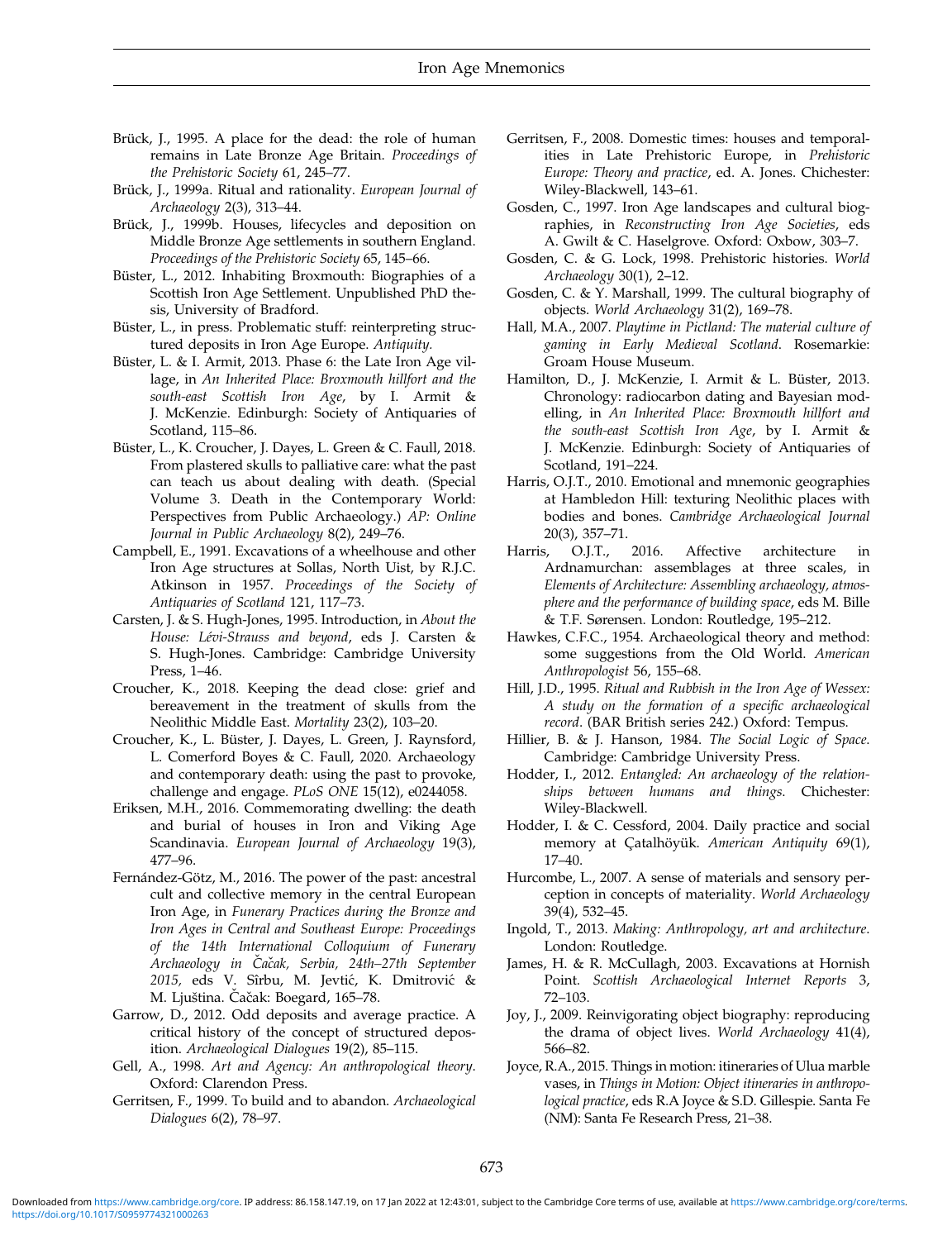- <span id="page-12-0"></span>Brück, J., 1995. A place for the dead: the role of human remains in Late Bronze Age Britain. Proceedings of the Prehistoric Society 61, 245–77.
- Brück, J., 1999a. Ritual and rationality. European Journal of Archaeology 2(3), 313–44.
- Brück, J., 1999b. Houses, lifecycles and deposition on Middle Bronze Age settlements in southern England. Proceedings of the Prehistoric Society 65, 145–66.
- Büster, L., 2012. Inhabiting Broxmouth: Biographies of a Scottish Iron Age Settlement. Unpublished PhD thesis, University of Bradford.
- Büster, L., in press. Problematic stuff: reinterpreting structured deposits in Iron Age Europe. Antiquity.
- Büster, L. & I. Armit, 2013. Phase 6: the Late Iron Age village, in An Inherited Place: Broxmouth hillfort and the south-east Scottish Iron Age, by I. Armit & J. McKenzie. Edinburgh: Society of Antiquaries of Scotland, 115–86.
- Büster, L., K. Croucher, J. Dayes, L. Green & C. Faull, 2018. From plastered skulls to palliative care: what the past can teach us about dealing with death. (Special Volume 3. Death in the Contemporary World: Perspectives from Public Archaeology.) AP: Online Journal in Public Archaeology 8(2), 249–76.
- Campbell, E., 1991. Excavations of a wheelhouse and other Iron Age structures at Sollas, North Uist, by R.J.C. Atkinson in 1957. Proceedings of the Society of Antiquaries of Scotland 121, 117–73.
- Carsten, J. & S. Hugh-Jones, 1995. Introduction, in About the House: Lévi-Strauss and beyond, eds J. Carsten & S. Hugh-Jones. Cambridge: Cambridge University Press, 1–46.
- Croucher, K., 2018. Keeping the dead close: grief and bereavement in the treatment of skulls from the Neolithic Middle East. Mortality 23(2), 103–20.
- Croucher, K., L. Büster, J. Dayes, L. Green, J. Raynsford, L. Comerford Boyes & C. Faull, 2020. Archaeology and contemporary death: using the past to provoke, challenge and engage. PLoS ONE 15(12), e0244058.
- Eriksen, M.H., 2016. Commemorating dwelling: the death and burial of houses in Iron and Viking Age Scandinavia. European Journal of Archaeology 19(3), 477–96.
- Fernández-Götz, M., 2016. The power of the past: ancestral cult and collective memory in the central European Iron Age, in Funerary Practices during the Bronze and Iron Ages in Central and Southeast Europe: Proceedings of the 14th International Colloquium of Funerary Archaeology in Č acak, Serbia, 24th ̌ –27th September 2015, eds V. Sîrbu, M. Jevtić, K. Dmitrović & M. Ljuština. Čačak: Boegard, 165–78.
- Garrow, D., 2012. Odd deposits and average practice. A critical history of the concept of structured deposition. Archaeological Dialogues 19(2), 85–115.
- Gell, A., 1998. Art and Agency: An anthropological theory. Oxford: Clarendon Press.
- Gerritsen, F., 1999. To build and to abandon. Archaeological Dialogues 6(2), 78–97.
- Gerritsen, F., 2008. Domestic times: houses and temporalities in Late Prehistoric Europe, in Prehistoric Europe: Theory and practice, ed. A. Jones. Chichester: Wiley-Blackwell, 143–61.
- Gosden, C., 1997. Iron Age landscapes and cultural biographies, in Reconstructing Iron Age Societies, eds A. Gwilt & C. Haselgrove. Oxford: Oxbow, 303–7.
- Gosden, C. & G. Lock, 1998. Prehistoric histories. World Archaeology 30(1), 2–12.
- Gosden, C. & Y. Marshall, 1999. The cultural biography of objects. World Archaeology 31(2), 169–78.
- Hall, M.A., 2007. Playtime in Pictland: The material culture of gaming in Early Medieval Scotland. Rosemarkie: Groam House Museum.
- Hamilton, D., J. McKenzie, I. Armit & L. Büster, 2013. Chronology: radiocarbon dating and Bayesian modelling, in An Inherited Place: Broxmouth hillfort and the south-east Scottish Iron Age, by I. Armit & J. McKenzie. Edinburgh: Society of Antiquaries of Scotland, 191–224.
- Harris, O.J.T., 2010. Emotional and mnemonic geographies at Hambledon Hill: texturing Neolithic places with bodies and bones. Cambridge Archaeological Journal 20(3), 357–71.
- Harris, O.J.T., 2016. Affective architecture in Ardnamurchan: assemblages at three scales, in Elements of Architecture: Assembling archaeology, atmosphere and the performance of building space, eds M. Bille & T.F. Sørensen. London: Routledge, 195–212.
- Hawkes, C.F.C., 1954. Archaeological theory and method: some suggestions from the Old World. American Anthropologist 56, 155–68.
- Hill, J.D., 1995. Ritual and Rubbish in the Iron Age of Wessex: A study on the formation of a specific archaeological record. (BAR British series 242.) Oxford: Tempus.
- Hillier, B. & J. Hanson, 1984. The Social Logic of Space. Cambridge: Cambridge University Press.
- Hodder, I., 2012. Entangled: An archaeology of the relationships between humans and things. Chichester: Wiley-Blackwell.
- Hodder, I. & C. Cessford, 2004. Daily practice and social memory at Çatalhöyük. American Antiquity 69(1), 17–40.
- Hurcombe, L., 2007. A sense of materials and sensory perception in concepts of materiality. World Archaeology 39(4), 532–45.
- Ingold, T., 2013. Making: Anthropology, art and architecture. London: Routledge.
- James, H. & R. McCullagh, 2003. Excavations at Hornish Point. Scottish Archaeological Internet Reports 3, 72–103.
- Joy, J., 2009. Reinvigorating object biography: reproducing the drama of object lives. World Archaeology 41(4), 566–82.
- Joyce, R.A., 2015. Things in motion: itineraries of Ulua marble vases, in Things in Motion: Object itineraries in anthropological practice, eds R.A Joyce & S.D. Gillespie. Santa Fe (NM): Santa Fe Research Press, 21–38.